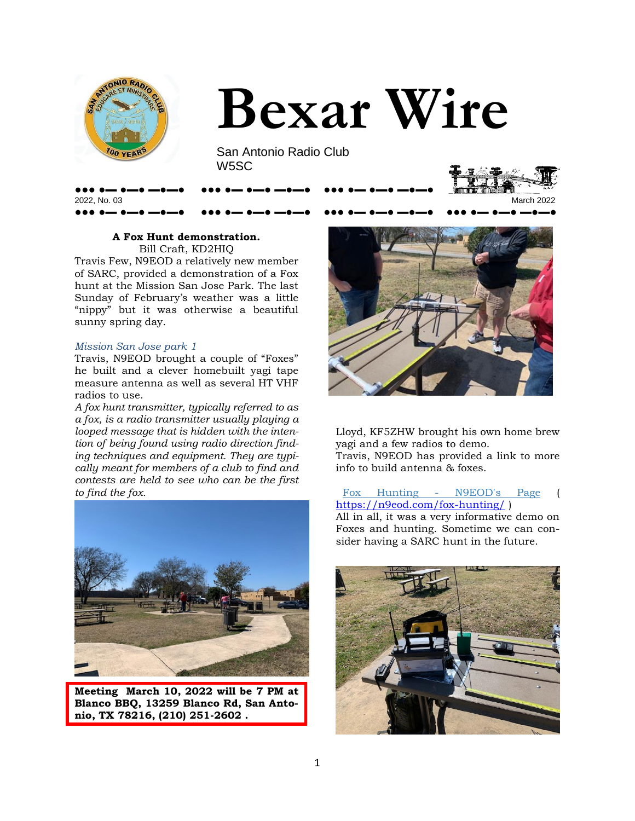



San Antonio Radio Club W5SC

●●● ●▬ ●▬● ▬●▬● ●●● ●▬ ●▬● ▬●▬● ●●● ●▬ ●▬● ▬●▬●





#### **A Fox Hunt demonstration.**

Bill Craft, KD2HIQ Travis Few, N9EOD a relatively new member of SARC, provided a demonstration of a Fox hunt at the Mission San Jose Park. The last Sunday of February's weather was a little "nippy" but it was otherwise a beautiful sunny spring day.

#### *Mission San Jose park 1*

Travis, N9EOD brought a couple of "Foxes" he built and a clever homebuilt yagi tape measure antenna as well as several HT VHF radios to use.

*A fox hunt transmitter, typically referred to as a fox, is a radio transmitter usually playing a looped message that is hidden with the intention of being found using radio direction finding techniques and equipment. They are typically meant for members of a club to find and contests are held to see who can be the first to find the fox.* 



**Meeting March 10, 2022 will be 7 PM at Blanco BBQ, 13259 Blanco Rd, San Antonio, TX 78216, (210) 251-2602 .** 



Lloyd, KF5ZHW brought his own home brew yagi and a few radios to demo. Travis, N9EOD has provided a link to more info to build antenna & foxes.

#### [Fox Hunting - N9EOD's Page](https://n9eod.com/fox-hunting/) <https://n9eod.com/fox-hunting/>)

All in all, it was a very informative demo on Foxes and hunting. Sometime we can consider having a SARC hunt in the future.

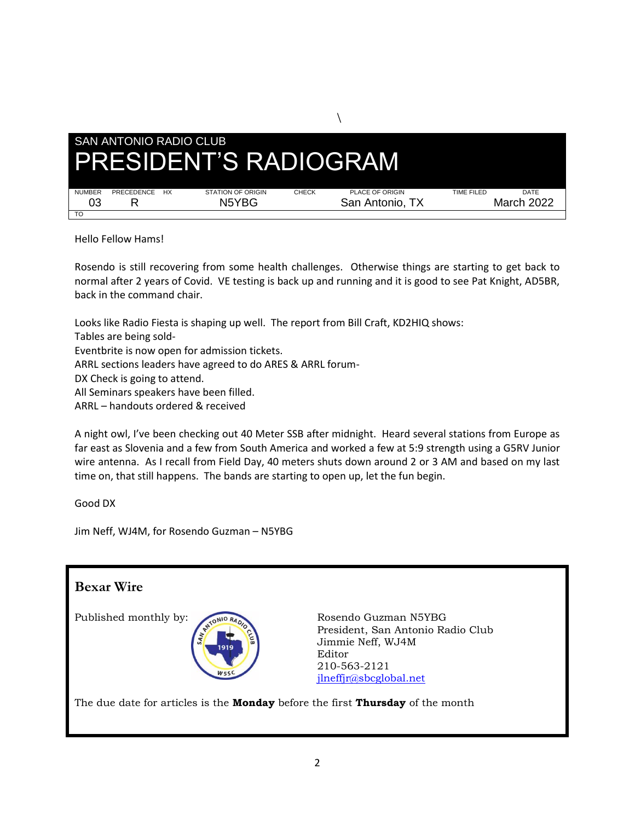

 $\setminus$ 

Hello Fellow Hams!

Rosendo is still recovering from some health challenges. Otherwise things are starting to get back to normal after 2 years of Covid. VE testing is back up and running and it is good to see Pat Knight, AD5BR, back in the command chair.

Looks like Radio Fiesta is shaping up well. The report from Bill Craft, KD2HIQ shows: Tables are being sold-Eventbrite is now open for admission tickets. ARRL sections leaders have agreed to do ARES & ARRL forum-DX Check is going to attend. All Seminars speakers have been filled. ARRL – handouts ordered & received

A night owl, I've been checking out 40 Meter SSB after midnight. Heard several stations from Europe as far east as Slovenia and a few from South America and worked a few at 5:9 strength using a G5RV Junior wire antenna. As I recall from Field Day, 40 meters shuts down around 2 or 3 AM and based on my last time on, that still happens. The bands are starting to open up, let the fun begin.

Good DX

Jim Neff, WJ4M, for Rosendo Guzman – N5YBG

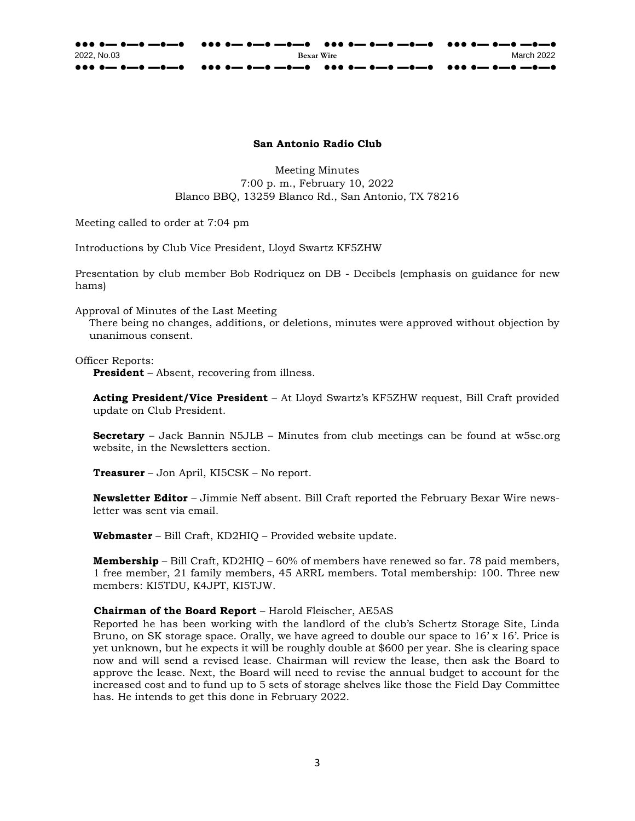#### **San Antonio Radio Club**

Meeting Minutes 7:00 p. m., February 10, 2022 Blanco BBQ, 13259 Blanco Rd., San Antonio, TX 78216

Meeting called to order at 7:04 pm

Introductions by Club Vice President, Lloyd Swartz KF5ZHW

Presentation by club member Bob Rodriquez on DB - Decibels (emphasis on guidance for new hams)

Approval of Minutes of the Last Meeting

There being no changes, additions, or deletions, minutes were approved without objection by unanimous consent.

#### Officer Reports:

**President** – Absent, recovering from illness.

**Acting President/Vice President** – At Lloyd Swartz's KF5ZHW request, Bill Craft provided update on Club President.

**Secretary** – Jack Bannin N5JLB – Minutes from club meetings can be found a[t](http://w5sc.org/) [w5sc.org](http://w5sc.org/) website, in the Newsletters section.

**Treasurer** – Jon April, KI5CSK – No report.

**Newsletter Editor** – Jimmie Neff absent. Bill Craft reported the February Bexar Wire newsletter was sent via email.

**Webmaster** – Bill Craft, KD2HIQ – Provided website update.

**Membership** – Bill Craft, KD2HIQ – 60% of members have renewed so far. 78 paid members, 1 free member, 21 family members, 45 ARRL members. Total membership: 100. Three new members: KI5TDU, K4JPT, KI5TJW.

#### **Chairman of the Board Report** – Harold Fleischer, AE5AS

Reported he has been working with the landlord of the club's Schertz Storage Site, Linda Bruno, on SK storage space. Orally, we have agreed to double our space to 16'x 16'. Price is yet unknown, but he expects it will be roughly double at \$600 per year. She is clearing space now and will send a revised lease. Chairman will review the lease, then ask the Board to approve the lease. Next, the Board will need to revise the annual budget to account for the increased cost and to fund up to 5 sets of storage shelves like those the Field Day Committee has. He intends to get this done in February 2022.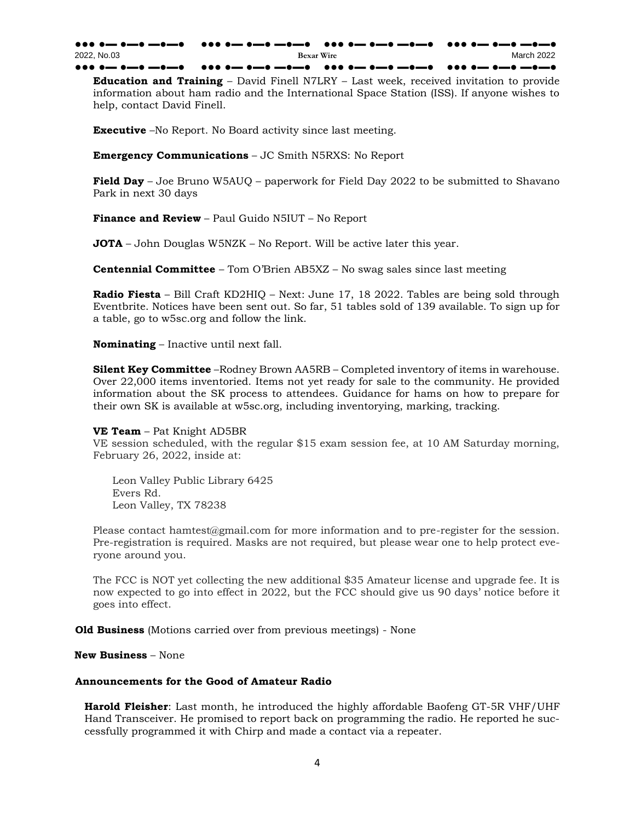●●● ●▬ ●▬● ▬●▬● ●●● ●▬ ●▬● ▬●▬● ●●● ●▬ ●▬● ▬●▬● ●●● ●▬ ●▬● ▬●▬● 2022, No.03 **Bexar Wire** March 2022 ●●● ●━ ●━● ━●━● ●●● ●━ ●━● ━●━● ●●●● ●●● ●<del>□</del>● ━●━● ●●●● ●●●● ●

**Education and Training** – David Finell N7LRY – Last week, received invitation to provide information about ham radio and the International Space Station (ISS). If anyone wishes to help, contact David Finell.

**Executive** –No Report. No Board activity since last meeting.

**Emergency Communications** – JC Smith N5RXS: No Report

**Field Day** – Joe Bruno W5AUQ – paperwork for Field Day 2022 to be submitted to Shavano Park in next 30 days

**Finance and Review** – Paul Guido N5IUT – No Report

**JOTA** – John Douglas W5NZK – No Report. Will be active later this year.

**Centennial Committee** – Tom O'Brien AB5XZ – No swag sales since last meeting

**Radio Fiesta** – Bill Craft KD2HIQ – Next: June 17, 18 2022. Tables are being sold through Eventbrite. Notices have been sent out. So far, 51 tables sold of 139 available. To sign up for a table, go to w5sc.org and follow the link.

**Nominating** – Inactive until next fall.

**Silent Key Committee** –Rodney Brown AA5RB – Completed inventory of items in warehouse. Over 22,000 items inventoried. Items not yet ready for sale to the community. He provided information about the SK process to attendees. Guidance for hams on how to prepare for their own SK is available at w5sc.org, including inventorying, marking, tracking.

**VE Team** – Pat Knight AD5BR

VE session scheduled, with the regular \$15 exam session fee, at 10 AM Saturday morning, February 26, 2022, inside at:

Leon Valley Public Library 6425 Evers Rd. Leon Valley, TX 78238

Please contact hamtest@gmail.com for more information and to pre-register for the session. Pre-registration is required. Masks are not required, but please wear one to help protect everyone around you.

The FCC is NOT yet collecting the new additional \$35 Amateur license and upgrade fee. It is now expected to go into effect in 2022, but the FCC should give us 90 days' notice before it goes into effect.

**Old Business** (Motions carried over from previous meetings) - None

**New Business** – None

#### **Announcements for the Good of Amateur Radio**

**Harold Fleisher**: Last month, he introduced the highly affordable Baofeng GT-5R VHF/UHF Hand Transceiver. He promised to report back on programming the radio. He reported he successfully programmed it with Chirp and made a contact via a repeater.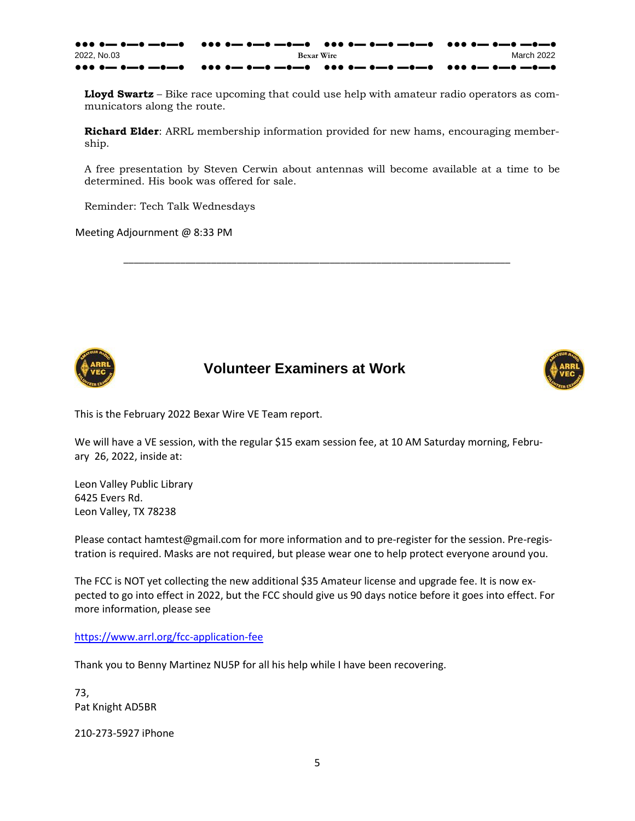●●● ●▬ ●▬● ▬●▬● ●●● ●▬ ●▬● ▬●▬● ●●● ●▬ ●▬● ▬●▬● ●●● ●▬ ●▬● ▬●▬● 2022, No.03 **Bexar Wire** March 2022 ●●● ●▬ ●▬● ▬●▬● ●●● ●▬ ●▬● ▬●▬● ●●● ●▬ ●▬● ▬●▬● ●●● ●▬ ●▬● ▬●▬●

**Lloyd Swartz** – Bike race upcoming that could use help with amateur radio operators as communicators along the route.

**Richard Elder**: ARRL membership information provided for new hams, encouraging membership.

A free presentation by Steven Cerwin about antennas will become available at a time to be determined. His book was offered for sale.

\_\_\_\_\_\_\_\_\_\_\_\_\_\_\_\_\_\_\_\_\_\_\_\_\_\_\_\_\_\_\_\_\_\_\_\_\_\_\_\_\_\_\_\_\_\_\_\_\_\_\_\_\_\_\_\_\_\_\_\_\_\_\_\_\_\_\_\_\_\_\_\_\_\_\_

Reminder: Tech Talk Wednesdays

Meeting Adjournment @ 8:33 PM



### **Volunteer Examiners at Work**



This is the February 2022 Bexar Wire VE Team report.

We will have a VE session, with the regular \$15 exam session fee, at 10 AM Saturday morning, February 26, 2022, inside at:

Leon Valley Public Library 6425 Evers Rd. Leon Valley, TX 78238

Please contact hamtest@gmail.com for more information and to pre-register for the session. Pre-registration is required. Masks are not required, but please wear one to help protect everyone around you.

The FCC is NOT yet collecting the new additional \$35 Amateur license and upgrade fee. It is now expected to go into effect in 2022, but the FCC should give us 90 days notice before it goes into effect. For more information, please see

<https://www.arrl.org/fcc-application-fee>

Thank you to Benny Martinez NU5P for all his help while I have been recovering.

73, Pat Knight AD5BR

210-273-5927 iPhone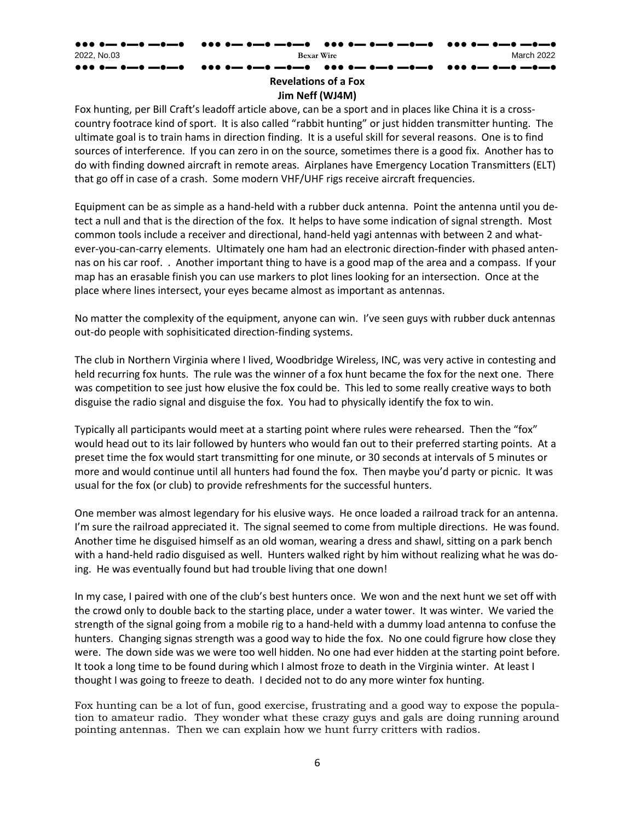### ●●● ●▬ ●▬● ▬●▬● ●●● ●▬ ●▬● ▬●▬● ●●● ●▬ ●▬● ▬●▬● ●●● ●▬ ●▬● ▬●▬● 2022, No.03 **Bexar Wire** March 2022 ●●● ●▬ ●▬● ▬●▬● ●●● ●▬ ●▬● ▬●▬● ●●● ●▬ ●▬● ▬●▬● ●●● ●▬ ●▬● ▬●▬● **Revelations of a Fox**

#### **Jim Neff (WJ4M)**

Fox hunting, per Bill Craft's leadoff article above, can be a sport and in places like China it is a crosscountry footrace kind of sport. It is also called "rabbit hunting" or just hidden transmitter hunting. The ultimate goal is to train hams in direction finding. It is a useful skill for several reasons. One is to find sources of interference. If you can zero in on the source, sometimes there is a good fix. Another has to do with finding downed aircraft in remote areas. Airplanes have Emergency Location Transmitters (ELT) that go off in case of a crash. Some modern VHF/UHF rigs receive aircraft frequencies.

Equipment can be as simple as a hand-held with a rubber duck antenna. Point the antenna until you detect a null and that is the direction of the fox. It helps to have some indication of signal strength. Most common tools include a receiver and directional, hand-held yagi antennas with between 2 and whatever-you-can-carry elements. Ultimately one ham had an electronic direction-finder with phased antennas on his car roof. . Another important thing to have is a good map of the area and a compass. If your map has an erasable finish you can use markers to plot lines looking for an intersection. Once at the place where lines intersect, your eyes became almost as important as antennas.

No matter the complexity of the equipment, anyone can win. I've seen guys with rubber duck antennas out-do people with sophisiticated direction-finding systems.

The club in Northern Virginia where I lived, Woodbridge Wireless, INC, was very active in contesting and held recurring fox hunts. The rule was the winner of a fox hunt became the fox for the next one. There was competition to see just how elusive the fox could be. This led to some really creative ways to both disguise the radio signal and disguise the fox. You had to physically identify the fox to win.

Typically all participants would meet at a starting point where rules were rehearsed. Then the "fox" would head out to its lair followed by hunters who would fan out to their preferred starting points. At a preset time the fox would start transmitting for one minute, or 30 seconds at intervals of 5 minutes or more and would continue until all hunters had found the fox. Then maybe you'd party or picnic. It was usual for the fox (or club) to provide refreshments for the successful hunters.

One member was almost legendary for his elusive ways. He once loaded a railroad track for an antenna. I'm sure the railroad appreciated it. The signal seemed to come from multiple directions. He was found. Another time he disguised himself as an old woman, wearing a dress and shawl, sitting on a park bench with a hand-held radio disguised as well. Hunters walked right by him without realizing what he was doing. He was eventually found but had trouble living that one down!

In my case, I paired with one of the club's best hunters once. We won and the next hunt we set off with the crowd only to double back to the starting place, under a water tower. It was winter. We varied the strength of the signal going from a mobile rig to a hand-held with a dummy load antenna to confuse the hunters. Changing signas strength was a good way to hide the fox. No one could figrure how close they were. The down side was we were too well hidden. No one had ever hidden at the starting point before. It took a long time to be found during which I almost froze to death in the Virginia winter. At least I thought I was going to freeze to death. I decided not to do any more winter fox hunting.

Fox hunting can be a lot of fun, good exercise, frustrating and a good way to expose the population to amateur radio. They wonder what these crazy guys and gals are doing running around pointing antennas. Then we can explain how we hunt furry critters with radios.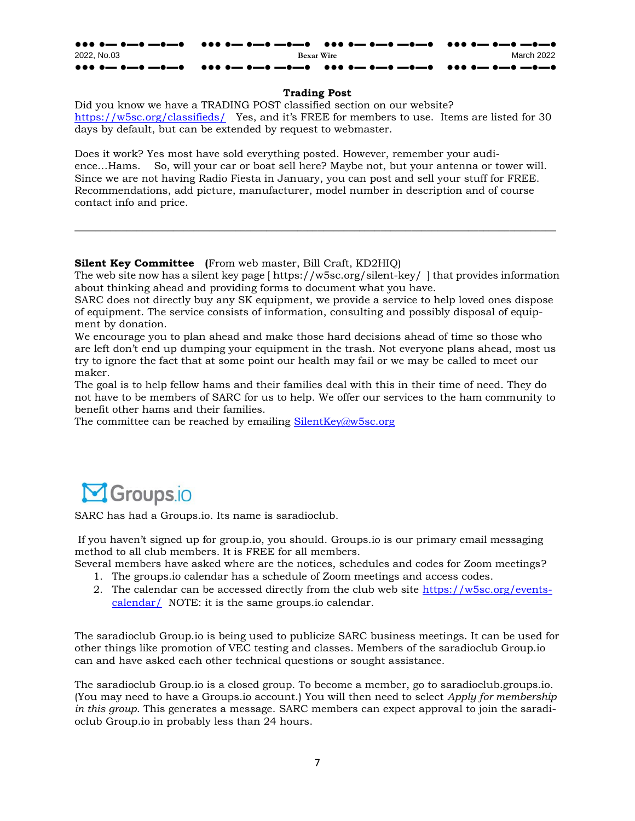### $N$ ewsletter Marchr $\boldsymbol{\mathcal{S}}$

A special thanks to Jeremy Polk, KG5AUL for donating a few MFJ items including:

MFJ-9017, MFJ-9420x, and MFJ-971.

While Jeremy is not a SARC member he reached out to Richard Elder to donate his no longer needed equipment. Richard put him in touch with the Silent key committee, however it was not a Silent Key event. Rodney Brown took the donations for the club at the February meeting.

The SK Committee will evaluate the equipment, put a price on it, then off it for sale to club members. If it doesn't sell it will be available at Radio Fiesta this June.

/05\*\$&

**SMFTGPSROTSFIBEEFGGFDJWF.BZ** tBUFPSJBMFYQUPCBTFEPENUUFEPXSESCBEMJTUFEJEDCWPUF IBNESFTUJMMMJBCMFGPSPWFSFR2TSF tGUFS.BØLOKUBUJPPSREJGJFETUBUJPMUPNIFUFBOTBWFBO **BOTSFTTFTTFOTIPMEPECFBTLFEGPSCZUF\$** tGUFS.B**ZKZEJGJFETUBUJPEYTUJELBIZUIBWFB PNIFUFEBTTFTTFOTBWFE** 0PSKCTJUFKIBWFBBTTFTTKDUPPMUPIFMPDANFUFUIJTUBTL BESMUOT BOTSF TTFTTNOUPPM

4UFWF\$SXXMMEPBSFTFOBUJPPOIJTTVKFDBUUIF.BZFUJO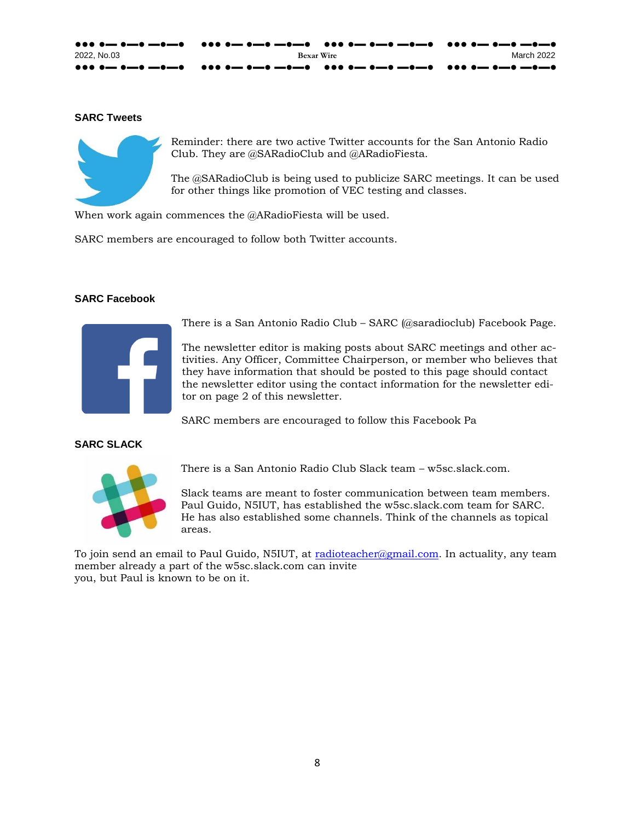#### ●●● ●▬ ●▬● ▬●▬● ●●● ●▬ ●▬● ▬●▬● ●●● ●▬ ●▬● ▬●▬● ●●● ●▬ ●▬● ▬●▬● 2022, No.03 **Bexar Wire** March 2022 ●●● ●▬ ●▬● ▬●▬● ●●● ●▬ ●▬● ▬●▬● ●●● ●▬ ●▬● ▬●▬● ●●● ●▬ ●▬● ▬●▬●

#### **Trading Post**

Did you know we have a TRADING POST classified section on our website? <https://w5sc.org/classifieds/> Yes, and it's FREE for members to use. Items are listed for 30 days by default, but can be extended by request to webmaster.

Does it work? Yes most have sold everything posted. However, remember your audience…Hams. So, will your car or boat sell here? Maybe not, but your antenna or tower will. Since we are not having Radio Fiesta in January, you can post and sell your stuff for FREE. Recommendations, add picture, manufacturer, model number in description and of course contact info and price.

#### **Silent Key Committee (**From web master, Bill Craft, KD2HIQ)

The web site now has a silent key page [ https://w5sc.org/silent-key/ ] that provides information about thinking ahead and providing forms to document what you have.

**\_\_\_\_\_\_\_\_\_\_\_\_\_\_\_\_\_\_\_\_\_\_\_\_\_\_\_\_\_\_\_\_\_\_\_\_\_\_\_\_\_\_\_\_\_\_\_\_\_\_\_\_\_\_\_\_\_\_\_\_\_\_\_\_\_\_\_\_\_\_\_\_\_\_\_\_\_\_\_\_\_\_\_\_\_\_\_\_\_\_\_\_\_** 

SARC does not directly buy any SK equipment, we provide a service to help loved ones dispose of equipment. The service consists of information, consulting and possibly disposal of equipment by donation.

We encourage you to plan ahead and make those hard decisions ahead of time so those who are left don't end up dumping your equipment in the trash. Not everyone plans ahead, most us try to ignore the fact that at some point our health may fail or we may be called to meet our maker.

The goal is to help fellow hams and their families deal with this in their time of need. They do not have to be members of SARC for us to help. We offer our services to the ham community to benefit other hams and their families.

The committee can be reached by emailing [SilentKey@w5sc.org](mailto:SilentKey@w5sc.org)



SARC has had a Groups.io. Its name is saradioclub.

If you haven't signed up for group.io, you should. Groups.io is our primary email messaging method to all club members. It is FREE for all members.

- Several members have asked where are the notices, schedules and codes for Zoom meetings?
	- 1. The groups.io calendar has a schedule of Zoom meetings and access codes.
	- 2. The calendar can be accessed directly from the club web site [https://w5sc.org/events](https://w5sc.org/events-calendar/)[calendar/](https://w5sc.org/events-calendar/) NOTE: it is the same groups.io calendar.

The saradioclub Group.io is being used to publicize SARC business meetings. It can be used for other things like promotion of VEC testing and classes. Members of the saradioclub Group.io can and have asked each other technical questions or sought assistance.

The saradioclub Group.io is a closed group. To become a member, go to saradioclub.groups.io. (You may need to have a Groups.io account.) You will then need to select *Apply for membership in this group*. This generates a message. SARC members can expect approval to join the saradioclub Group.io in probably less than 24 hours.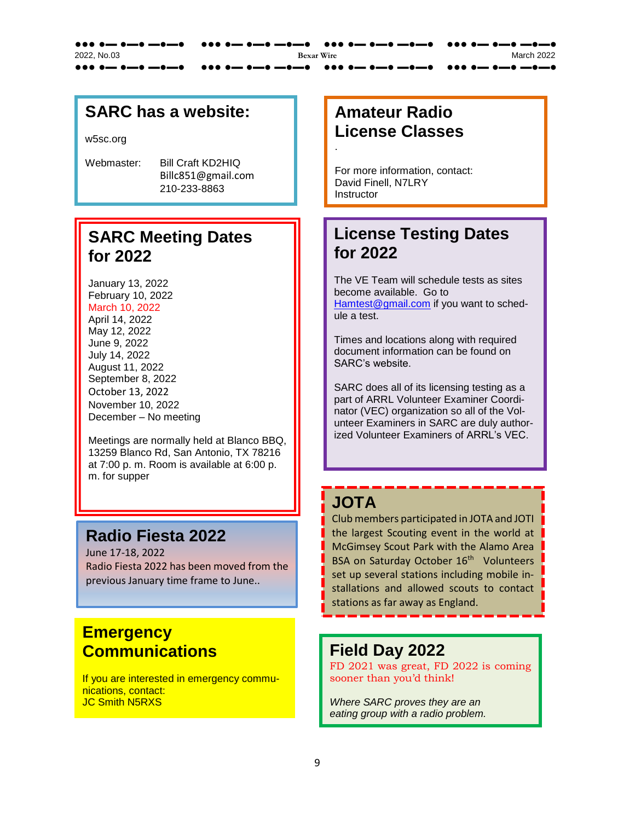| 2022. No.03 | <b>Bexar Wire</b> | March 2022 |
|-------------|-------------------|------------|
|             |                   |            |

#### **SARC Tweets**



Reminder: there are two active Twitter accounts for the San Antonio Radio Club. They are @SARadioClub and @ARadioFiesta.

The @SARadioClub is being used to publicize SARC meetings. It can be used for other things like promotion of VEC testing and classes.

When work again commences the @ARadioFiesta will be used.

SARC members are encouraged to follow both Twitter accounts.

#### **SARC Facebook**



There is a San Antonio Radio Club – SARC (@saradioclub) Facebook Page.

The newsletter editor is making posts about SARC meetings and other activities. Any Officer, Committee Chairperson, or member who believes that they have information that should be posted to this page should contact the newsletter editor using the contact information for the newsletter editor on page 2 of this newsletter.

SARC members are encouraged to follow this Facebook Pa

#### **SARC SLACK**



There is a San Antonio Radio Club Slack team – w5sc.slack.com.

Slack teams are meant to foster communication between team members. Paul Guido, N5IUT, has established the w5sc.slack.com team for SARC. He has also established some channels. Think of the channels as topical areas.

To join send an email to Paul Guido, N5IUT, at [radioteacher@gmail.com.](mailto:radioteacher@gmail.com) In actuality, any team member already a part of the w5sc.slack.com can invite you, but Paul is known to be on it.